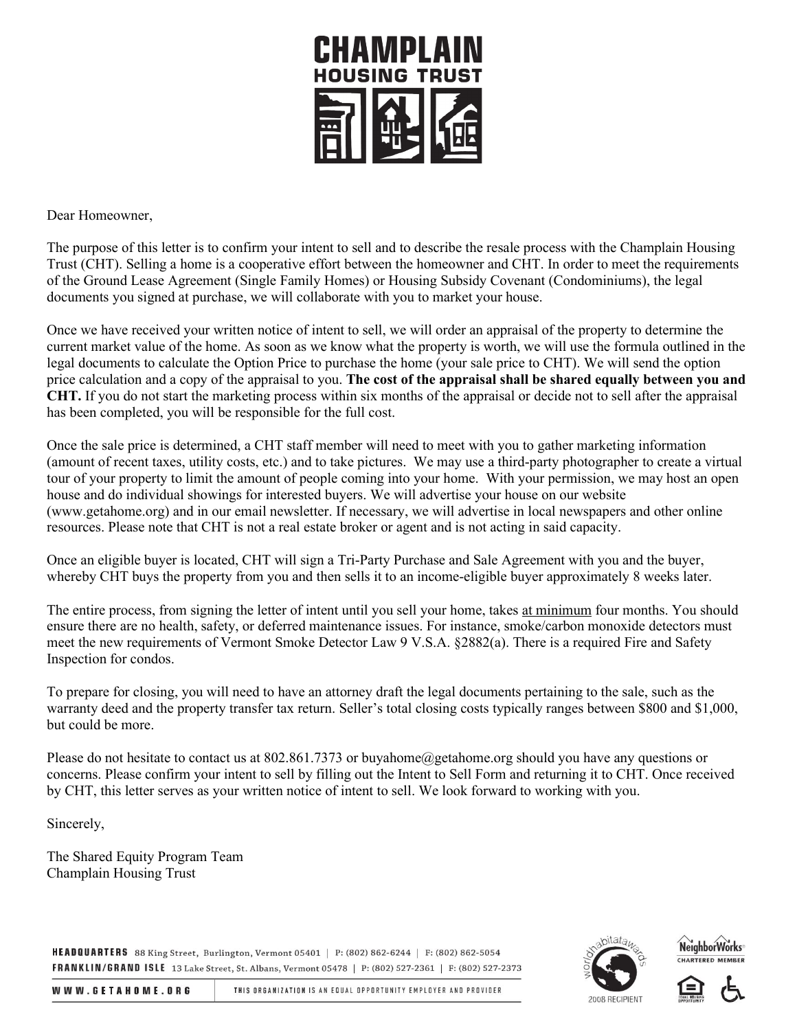

Dear Homeowner,

The purpose of this letter is to confirm your intent to sell and to describe the resale process with the Champlain Housing Trust (CHT). Selling a home is a cooperative effort between the homeowner and CHT. In order to meet the requirements of the Ground Lease Agreement (Single Family Homes) or Housing Subsidy Covenant (Condominiums), the legal documents you signed at purchase, we will collaborate with you to market your house.

Once we have received your written notice of intent to sell, we will order an appraisal of the property to determine the current market value of the home. As soon as we know what the property is worth, we will use the formula outlined in the legal documents to calculate the Option Price to purchase the home (your sale price to CHT). We will send the option price calculation and a copy of the appraisal to you. **The cost of the appraisal shall be shared equally between you and CHT.** If you do not start the marketing process within six months of the appraisal or decide not to sell after the appraisal has been completed, you will be responsible for the full cost.

Once the sale price is determined, a CHT staff member will need to meet with you to gather marketing information (amount of recent taxes, utility costs, etc.) and to take pictures. We may use a third-party photographer to create a virtual tour of your property to limit the amount of people coming into your home. With your permission, we may host an open house and do individual showings for interested buyers. We will advertise your house on our website (www.getahome.org) and in our email newsletter. If necessary, we will advertise in local newspapers and other online resources. Please note that CHT is not a real estate broker or agent and is not acting in said capacity.

Once an eligible buyer is located, CHT will sign a Tri-Party Purchase and Sale Agreement with you and the buyer, whereby CHT buys the property from you and then sells it to an income-eligible buyer approximately 8 weeks later.

The entire process, from signing the letter of intent until you sell your home, takes at minimum four months. You should ensure there are no health, safety, or deferred maintenance issues. For instance, smoke/carbon monoxide detectors must meet the new requirements of Vermont Smoke Detector Law 9 V.S.A. §2882(a). There is a required Fire and Safety Inspection for condos.

To prepare for closing, you will need to have an attorney draft the legal documents pertaining to the sale, such as the warranty deed and the property transfer tax return. Seller's total closing costs typically ranges between \$800 and \$1,000, but could be more.

Please do not hesitate to contact us at 802.861.7373 or buyahome@getahome.org should you have any questions or concerns. Please confirm your intent to sell by filling out the Intent to Sell Form and returning it to CHT. Once received by CHT, this letter serves as your written notice of intent to sell. We look forward to working with you.

Sincerely,

The Shared Equity Program Team Champlain Housing Trust

HEADQUARTERS 88 King Street, Burlington, Vermont 05401 | P: (802) 862-6244 | F: (802) 862-5054 FRANKLIN/GRAND ISLE 13 Lake Street, St. Albans, Vermont 05478 | P: (802) 527-2361 | F: (802) 527-2373